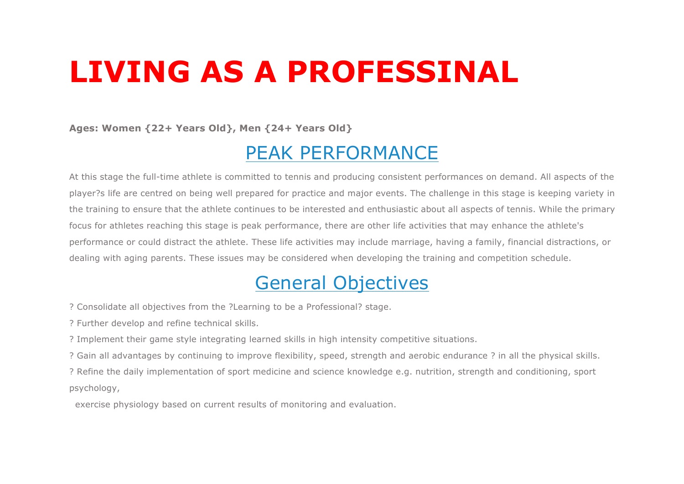# **LIVING AS A PROFESSINAL**

**Ages: Women {22+ Years Old}, Men {24+ Years Old}**

### PEAK PERFORMANCE

At this stage the full-time athlete is committed to tennis and producing consistent performances on demand. All aspects of the player?s life are centred on being well prepared for practice and major events. The challenge in this stage is keeping variety in the training to ensure that the athlete continues to be interested and enthusiastic about all aspects of tennis. While the primary focus for athletes reaching this stage is peak performance, there are other life activities that may enhance the athlete's performance or could distract the athlete. These life activities may include marriage, having a family, financial distractions, or dealing with aging parents. These issues may be considered when developing the training and competition schedule.

## General Objectives

? Consolidate all objectives from the ?Learning to be a Professional? stage.

? Further develop and refine technical skills.

? Implement their game style integrating learned skills in high intensity competitive situations.

? Gain all advantages by continuing to improve flexibility, speed, strength and aerobic endurance ? in all the physical skills.

? Refine the daily implementation of sport medicine and science knowledge e.g. nutrition, strength and conditioning, sport psychology,

exercise physiology based on current results of monitoring and evaluation.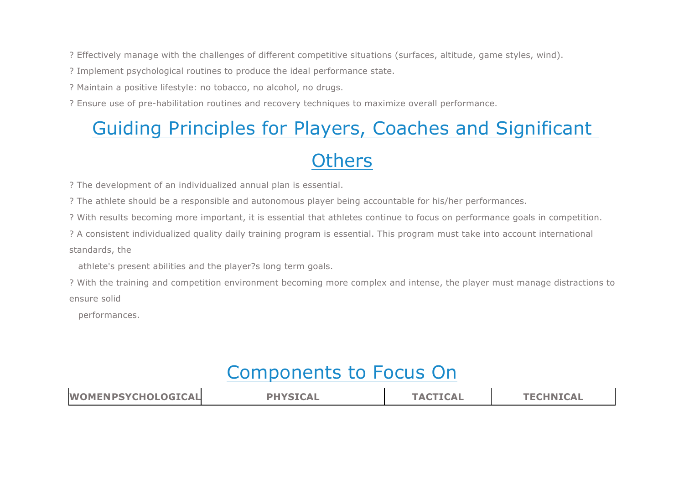? Effectively manage with the challenges of different competitive situations (surfaces, altitude, game styles, wind).

? Implement psychological routines to produce the ideal performance state.

? Maintain a positive lifestyle: no tobacco, no alcohol, no drugs.

? Ensure use of pre-habilitation routines and recovery techniques to maximize overall performance.

# Guiding Principles for Players, Coaches and Significant

### **Others**

? The development of an individualized annual plan is essential.

? The athlete should be a responsible and autonomous player being accountable for his/her performances.

? With results becoming more important, it is essential that athletes continue to focus on performance goals in competition.

? A consistent individualized quality daily training program is essential. This program must take into account international standards, the

athlete's present abilities and the player?s long term goals.

? With the training and competition environment becoming more complex and intense, the player must manage distractions to ensure solid

performances.

### Components to Focus On

| <b>WOMENPSYCHOLOGICAL</b><br><b>PHYSICAL</b> | <b>TACTICAL</b> | <b>TECHNICAL</b> |
|----------------------------------------------|-----------------|------------------|
|----------------------------------------------|-----------------|------------------|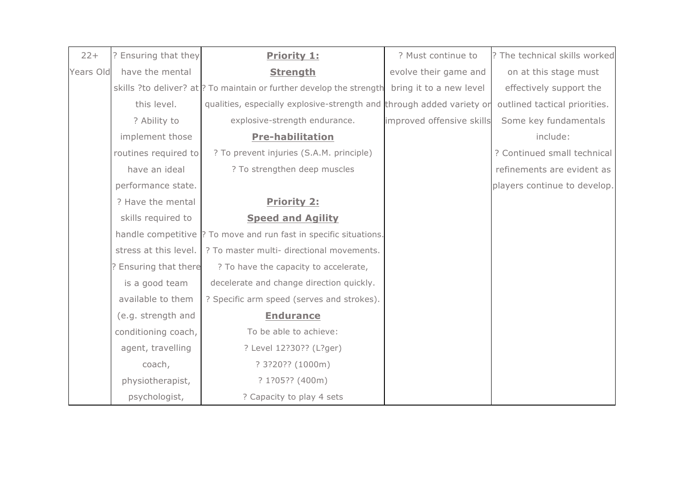| $22+$     | ? Ensuring that they  | <b>Priority 1:</b>                                                    | ? Must continue to        | ? The technical skills worked |
|-----------|-----------------------|-----------------------------------------------------------------------|---------------------------|-------------------------------|
| Years Old | have the mental       | <b>Strength</b>                                                       | evolve their game and     | on at this stage must         |
|           |                       | skills ?to deliver? at ? To maintain or further develop the strength  | bring it to a new level   | effectively support the       |
|           | this level.           | qualities, especially explosive-strength and through added variety or |                           | outlined tactical priorities. |
|           | ? Ability to          | explosive-strength endurance.                                         | improved offensive skills | Some key fundamentals         |
|           | implement those       | <b>Pre-habilitation</b>                                               |                           | include:                      |
|           | routines required to  | ? To prevent injuries (S.A.M. principle)                              |                           | ? Continued small technical   |
|           | have an ideal         | ? To strengthen deep muscles                                          |                           | refinements are evident as    |
|           | performance state.    |                                                                       |                           | players continue to develop.  |
|           | ? Have the mental     | <b>Priority 2:</b>                                                    |                           |                               |
|           | skills required to    | <b>Speed and Agility</b>                                              |                           |                               |
|           |                       | handle competitive ? To move and run fast in specific situations.     |                           |                               |
|           | stress at this level. | ? To master multi- directional movements.                             |                           |                               |
|           | ? Ensuring that there | ? To have the capacity to accelerate,                                 |                           |                               |
|           | is a good team        | decelerate and change direction quickly.                              |                           |                               |
|           | available to them     | ? Specific arm speed (serves and strokes).                            |                           |                               |
|           | (e.g. strength and    | <b>Endurance</b>                                                      |                           |                               |
|           | conditioning coach,   | To be able to achieve:                                                |                           |                               |
|           | agent, travelling     | ? Level 12?30?? (L?ger)                                               |                           |                               |
|           | coach,                | ? 3?20?? (1000m)                                                      |                           |                               |
|           | physiotherapist,      | ? 1?05?? (400m)                                                       |                           |                               |
|           | psychologist,         | ? Capacity to play 4 sets                                             |                           |                               |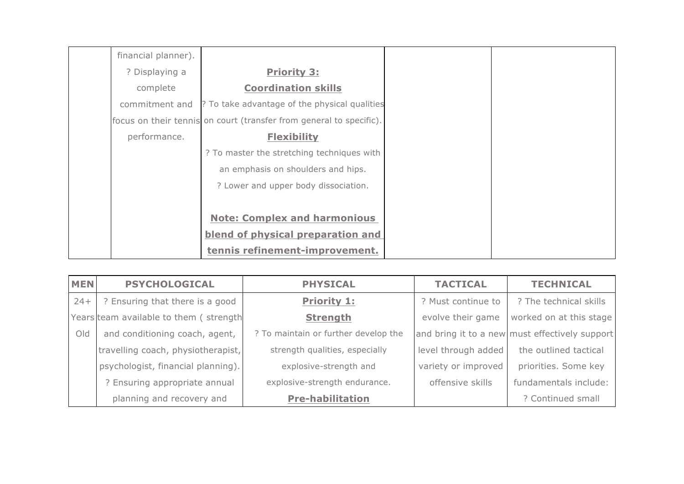| financial planner). |                                                                     |  |
|---------------------|---------------------------------------------------------------------|--|
| ? Displaying a      | <b>Priority 3:</b>                                                  |  |
| complete            | <b>Coordination skills</b>                                          |  |
|                     | commitment and  ? To take advantage of the physical qualities       |  |
|                     | focus on their tennis on court (transfer from general to specific). |  |
| performance.        | <b>Flexibility</b>                                                  |  |
|                     | ? To master the stretching techniques with                          |  |
|                     | an emphasis on shoulders and hips.                                  |  |
|                     | ? Lower and upper body dissociation.                                |  |
|                     |                                                                     |  |
|                     | <b>Note: Complex and harmonious</b>                                 |  |
|                     | blend of physical preparation and                                   |  |
|                     | tennis refinement-improvement.                                      |  |

| <b>MEN</b> | <b>PSYCHOLOGICAL</b>                   | <b>PHYSICAL</b>                      | <b>TACTICAL</b>     | <b>TECHNICAL</b>                               |
|------------|----------------------------------------|--------------------------------------|---------------------|------------------------------------------------|
| $24+$      | ? Ensuring that there is a good        | <b>Priority 1:</b>                   | ? Must continue to  | ? The technical skills                         |
|            | Years team available to them (strength | <b>Strength</b>                      | evolve their game   | worked on at this stage                        |
| Old        | and conditioning coach, agent,         | ? To maintain or further develop the |                     | and bring it to a new must effectively support |
|            | travelling coach, physiotherapist,     | strength qualities, especially       | level through added | the outlined tactical                          |
|            | psychologist, financial planning).     | explosive-strength and               | variety or improved | priorities. Some key                           |
|            | ? Ensuring appropriate annual          | explosive-strength endurance.        | offensive skills    | fundamentals include:                          |
|            | planning and recovery and              | <b>Pre-habilitation</b>              |                     | ? Continued small                              |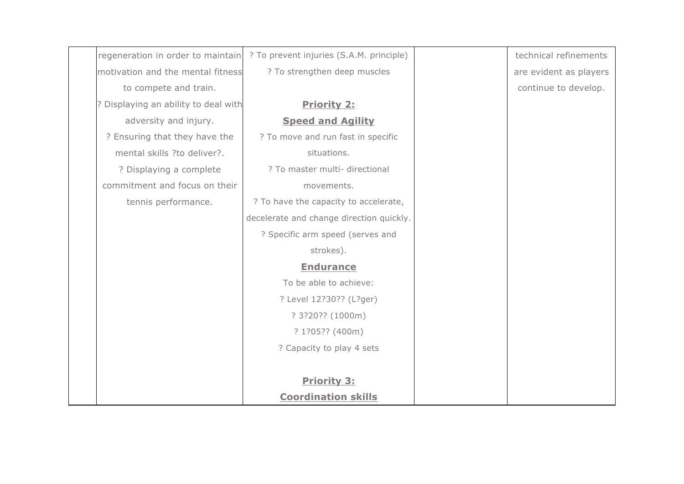| regeneration in order to maintain    | ? To prevent injuries (S.A.M. principle) | technical refinements  |
|--------------------------------------|------------------------------------------|------------------------|
| motivation and the mental fitness    | ? To strengthen deep muscles             | are evident as players |
| to compete and train.                |                                          | continue to develop.   |
| ? Displaying an ability to deal with | <b>Priority 2:</b>                       |                        |
| adversity and injury.                | <b>Speed and Agility</b>                 |                        |
| ? Ensuring that they have the        | ? To move and run fast in specific       |                        |
| mental skills ?to deliver?.          | situations.                              |                        |
| ? Displaying a complete              | ? To master multi- directional           |                        |
| commitment and focus on their        | movements.                               |                        |
| tennis performance.                  | ? To have the capacity to accelerate,    |                        |
|                                      | decelerate and change direction quickly. |                        |
|                                      | ? Specific arm speed (serves and         |                        |
|                                      | strokes).                                |                        |
|                                      | <b>Endurance</b>                         |                        |
|                                      | To be able to achieve:                   |                        |
|                                      | ? Level 12?30?? (L?ger)                  |                        |
|                                      | ? 3?20?? (1000m)                         |                        |
|                                      | ? 1?05?? (400m)                          |                        |
|                                      | ? Capacity to play 4 sets                |                        |
|                                      |                                          |                        |
|                                      | <b>Priority 3:</b>                       |                        |
|                                      | <b>Coordination skills</b>               |                        |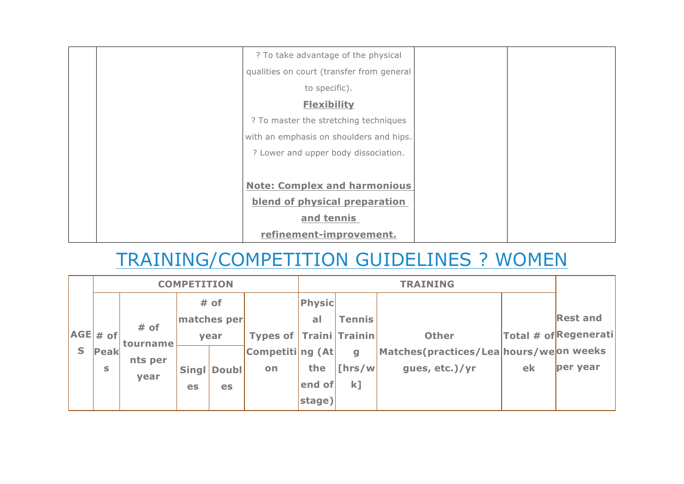| ? To take advantage of the physical       |  |
|-------------------------------------------|--|
| qualities on court (transfer from general |  |
| to specific).                             |  |
| <b>Flexibility</b>                        |  |
| ? To master the stretching techniques     |  |
| with an emphasis on shoulders and hips.   |  |
| ? Lower and upper body dissociation.      |  |
|                                           |  |
| <b>Note: Complex and harmonious</b>       |  |
| blend of physical preparation             |  |
| and tennis                                |  |
| refinement-improvement.                   |  |

# TRAINING/COMPETITION GUIDELINES ? WOMEN

|   |              | <b>COMPETITION</b> |              |              | <b>TRAINING</b>                |           |               |                                         |    |                      |
|---|--------------|--------------------|--------------|--------------|--------------------------------|-----------|---------------|-----------------------------------------|----|----------------------|
|   |              |                    |              | # of         |                                | Physic    |               |                                         |    |                      |
|   |              | # of               |              | matches per  |                                | <b>al</b> | <b>Tennis</b> |                                         |    | <b>Rest and</b>      |
|   | $ AGE $ + of | tourname           |              | year         | <b>Types of Traini Trainin</b> |           |               | <b>Other</b>                            |    | Total # ofRegenerati |
| S | Peak         | nts per            |              |              | Competiting (At                |           | $\mathbf{q}$  | Matches (practices/Lea hours/weon weeks |    |                      |
|   | S            | year               | <b>Singl</b> | <b>Doubl</b> | <b>on</b>                      | the       | $\ln s/w$     | gues, etc.)/yr                          | ek | per year             |
|   |              |                    | es           | es           |                                | end of    | $k$ ]         |                                         |    |                      |
|   |              |                    |              |              |                                | stage)    |               |                                         |    |                      |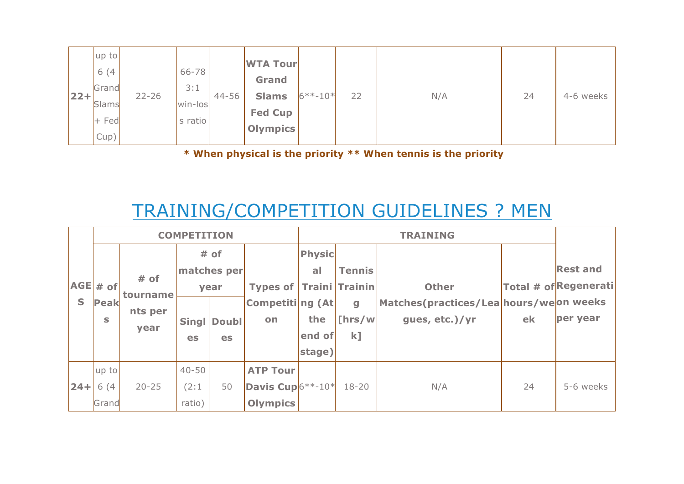|        | up to           |           |                  |       | <b>WTA Tour</b>                |            |    |     |    |           |
|--------|-----------------|-----------|------------------|-------|--------------------------------|------------|----|-----|----|-----------|
|        | 6(4)<br>Grand   |           | $66 - 78$<br>3:1 |       | <b>Grand</b>                   |            |    |     |    |           |
| $ 22+$ | Slams           | $22 - 26$ | win-los          | 44-56 | <b>Slams</b><br><b>Fed Cup</b> | $6***-10*$ | 22 | N/A | 24 | 4-6 weeks |
|        | $+$ Fed<br>Cup) |           | s ratio          |       | <b>Olympics</b>                |            |    |     |    |           |

**\* When physical is the priority \*\* When tennis is the priority**

# TRAINING/COMPETITION GUIDELINES ? MEN

|              | <b>COMPETITION</b> |           |              |              |                      | <b>TRAINING</b> |                  |                                        |    |                      |
|--------------|--------------------|-----------|--------------|--------------|----------------------|-----------------|------------------|----------------------------------------|----|----------------------|
|              |                    |           |              | # of         |                      | <b>Physic</b>   |                  |                                        |    |                      |
|              |                    | # of      |              | matches per  |                      | <b>al</b>       | <b>Tennis</b>    |                                        |    | <b>Rest and</b>      |
|              | $ AGE $ # of       |           |              | year         | Types of $ $         |                 | Traini Trainin   | <b>Other</b>                           |    | Total # ofRegenerati |
| $\mathsf{S}$ | Peak               | tourname  |              |              | Competiting (At      |                 | $\mathbf{g}$     | Matches(practices/Lea hours/weon weeks |    |                      |
|              | S                  | nts per   | <b>Singl</b> | <b>Doubl</b> | on                   | the             | $\lfloor$ [hrs/w | gues, etc.)/yr                         | ek | per year             |
|              |                    | year      | es           | <b>es</b>    |                      | end of          | $k$ ]            |                                        |    |                      |
|              |                    |           |              |              |                      | stage)          |                  |                                        |    |                      |
|              | up to              |           | $40 - 50$    |              | <b>ATP Tour</b>      |                 |                  |                                        |    |                      |
| $ 24+$       | 6(4)               | $20 - 25$ | (2:1)        | 50           | Davis Cup $6***-10*$ |                 | $18 - 20$        | N/A                                    | 24 | 5-6 weeks            |
|              | Grand              |           | ratio)       |              | <b>Olympics</b>      |                 |                  |                                        |    |                      |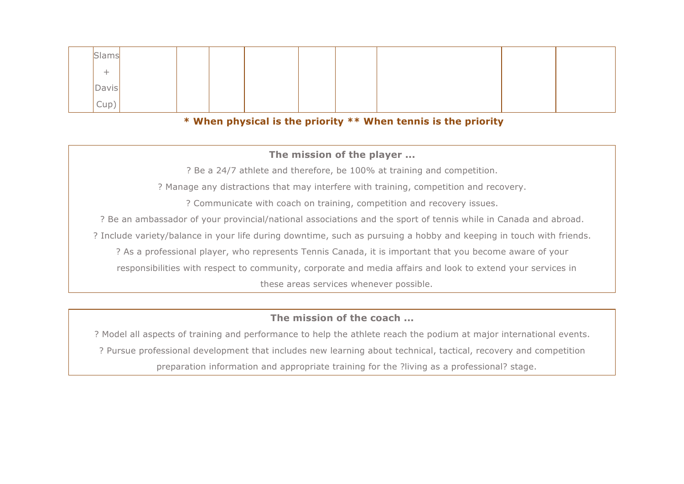| Slams |  |  |  |  |  |
|-------|--|--|--|--|--|
| -     |  |  |  |  |  |
| Davis |  |  |  |  |  |
| Cup   |  |  |  |  |  |

#### **\* When physical is the priority \*\* When tennis is the priority**

#### **The mission of the player ...**

? Be a 24/7 athlete and therefore, be 100% at training and competition.

? Manage any distractions that may interfere with training, competition and recovery.

? Communicate with coach on training, competition and recovery issues.

? Be an ambassador of your provincial/national associations and the sport of tennis while in Canada and abroad.

? Include variety/balance in your life during downtime, such as pursuing a hobby and keeping in touch with friends.

? As a professional player, who represents Tennis Canada, it is important that you become aware of your

responsibilities with respect to community, corporate and media affairs and look to extend your services in

these areas services whenever possible.

#### **The mission of the coach ...**

? Model all aspects of training and performance to help the athlete reach the podium at major international events. ? Pursue professional development that includes new learning about technical, tactical, recovery and competition preparation information and appropriate training for the ?living as a professional? stage.